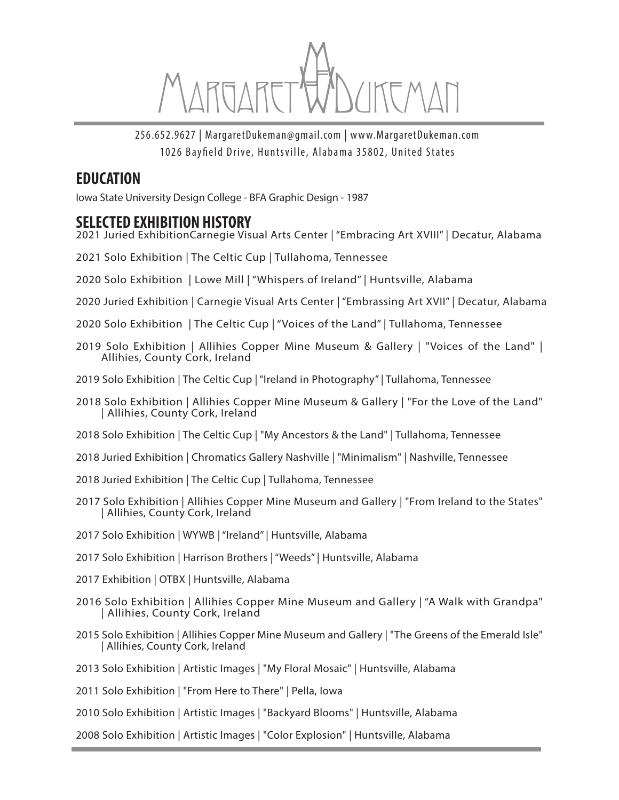

256.652.9627 | MargaretDukeman@gmail.com | www.MargaretDukeman.com 1026 Bayfield Drive, Huntsville, Alabama 35802, United States

#### **EDUCATION**

Iowa State University Design College - BFA Graphic Design - 1987

#### **SELECTED EXHIBITION HISTORY**

- 2021 Juried ExhibitionCarnegie Visual Arts Center | "Embracing Art XVIII" | Decatur, Alabama
- 2021 Solo Exhibition | The Celtic Cup | Tullahoma, Tennessee
- 2020 Solo Exhibition | Lowe Mill | "Whispers of Ireland" | Huntsville, Alabama
- 2020 Juried Exhibition | Carnegie Visual Arts Center | "Embrassing Art XVII" | Decatur, Alabama
- 2020 Solo Exhibition | The Celtic Cup | "Voices of the Land" | Tullahoma, Tennessee
- 2019 Solo Exhibition | Allihies Copper Mine Museum & Gallery | "Voices of the Land" | Allihies, County Cork, Ireland
- 2019 Solo Exhibition | The Celtic Cup | "Ireland in Photography" | Tullahoma, Tennessee
- 2018 Solo Exhibition | Allihies Copper Mine Museum & Gallery | "For the Love of the Land" | Allihies, County Cork, Ireland
- 2018 Solo Exhibition | The Celtic Cup | "My Ancestors & the Land" | Tullahoma, Tennessee
- 2018 Juried Exhibition | Chromatics Gallery Nashville | "Minimalism" | Nashville, Tennessee
- 2018 Juried Exhibition | The Celtic Cup | Tullahoma, Tennessee
- 2017 Solo Exhibition | Allihies Copper Mine Museum and Gallery | "From Ireland to the States" | Allihies, County Cork, Ireland
- 2017 Solo Exhibition | WYWB | "Ireland" | Huntsville, Alabama
- 2017 Solo Exhibition | Harrison Brothers | "Weeds" | Huntsville, Alabama
- 2017 Exhibition | OTBX | Huntsville, Alabama
- 2016 Solo Exhibition | Allihies Copper Mine Museum and Gallery | "A Walk with Grandpa" | Allihies, County Cork, Ireland
- 2015 Solo Exhibition | Allihies Copper Mine Museum and Gallery | "The Greens of the Emerald Isle" | Allihies, County Cork, Ireland
- 2013 Solo Exhibition | Artistic Images | "My Floral Mosaic" | Huntsville, Alabama
- 2011 Solo Exhibition | "From Here to There" | Pella, Iowa
- 2010 Solo Exhibition | Artistic Images | "Backyard Blooms" | Huntsville, Alabama
- 2008 Solo Exhibition | Artistic Images | "Color Explosion" | Huntsville, Alabama